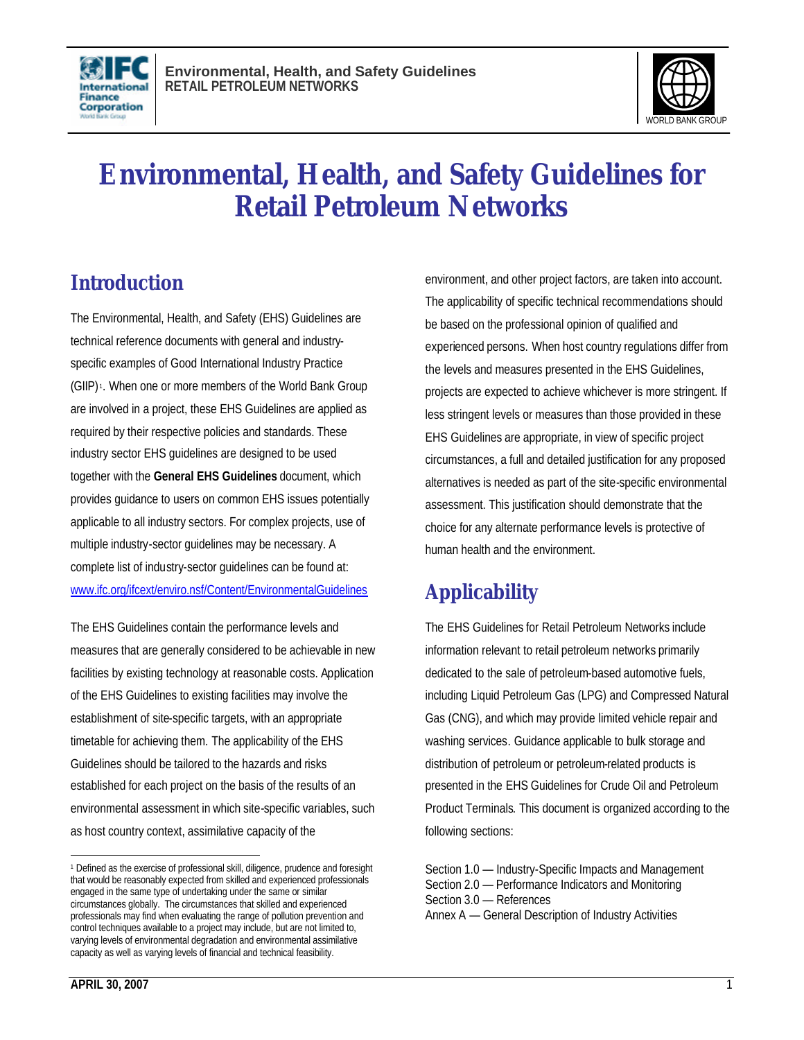



# **Environmental, Health, and Safety Guidelines for Retail Petroleum Networks**

# **Introduction**

The Environmental, Health, and Safety (EHS) Guidelines are technical reference documents with general and industryspecific examples of Good International Industry Practice (GIIP)<sup>1</sup>. When one or more members of the World Bank Group are involved in a project, these EHS Guidelines are applied as required by their respective policies and standards. These industry sector EHS guidelines are designed to be used together with the **General EHS Guidelines** document, which provides guidance to users on common EHS issues potentially applicable to all industry sectors. For complex projects, use of multiple industry-sector guidelines may be necessary. A complete list of industry-sector guidelines can be found at: www.ifc.org/ifcext/enviro.nsf/Content/EnvironmentalGuidelines

The EHS Guidelines contain the performance levels and measures that are generally considered to be achievable in new facilities by existing technology at reasonable costs. Application of the EHS Guidelines to existing facilities may involve the establishment of site-specific targets, with an appropriate timetable for achieving them. The applicability of the EHS Guidelines should be tailored to the hazards and risks established for each project on the basis of the results of an environmental assessment in which site-specific variables, such as host country context, assimilative capacity of the

environment, and other project factors, are taken into account. The applicability of specific technical recommendations should be based on the professional opinion of qualified and experienced persons. When host country regulations differ from the levels and measures presented in the EHS Guidelines, projects are expected to achieve whichever is more stringent. If less stringent levels or measures than those provided in these EHS Guidelines are appropriate, in view of specific project circumstances, a full and detailed justification for any proposed alternatives is needed as part of the site-specific environmental assessment. This justification should demonstrate that the choice for any alternate performance levels is protective of human health and the environment.

# **Applicability**

The EHS Guidelines for Retail Petroleum Networks include information relevant to retail petroleum networks primarily dedicated to the sale of petroleum-based automotive fuels, including Liquid Petroleum Gas (LPG) and Compressed Natural Gas (CNG), and which may provide limited vehicle repair and washing services. Guidance applicable to bulk storage and distribution of petroleum or petroleum-related products is presented in the EHS Guidelines for Crude Oil and Petroleum Product Terminals. This document is organized according to the following sections:

<sup>1</sup> Defined as the exercise of professional skill, diligence, prudence and foresight that would be reasonably expected from skilled and experienced professionals engaged in the same type of undertaking under the same or similar circumstances globally. The circumstances that skilled and experienced professionals may find when evaluating the range of pollution prevention and control techniques available to a project may include, but are not limited to, varying levels of environmental degradation and environmental assimilative capacity as well as varying levels of financial and technical feasibility.

Section 1.0 — Industry-Specific Impacts and Management Section 2.0 — Performance Indicators and Monitoring Section 3.0 — References Annex A — General Description of Industry Activities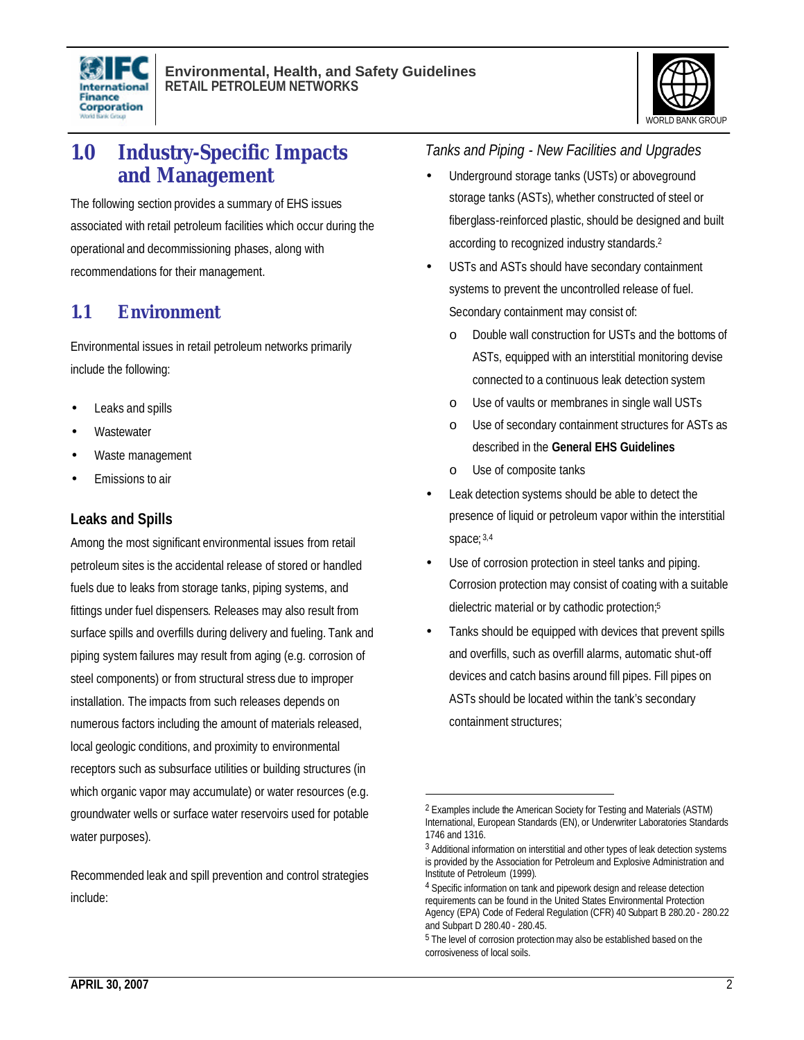



### **1.0 Industry-Specific Impacts and Management**

The following section provides a summary of EHS issues associated with retail petroleum facilities which occur during the operational and decommissioning phases, along with recommendations for their management.

### **1.1 Environment**

Environmental issues in retail petroleum networks primarily include the following:

- Leaks and spills
- **Wastewater**
- Waste management
- Emissions to air

### **Leaks and Spills**

Among the most significant environmental issues from retail petroleum sites is the accidental release of stored or handled fuels due to leaks from storage tanks, piping systems, and fittings under fuel dispensers. Releases may also result from surface spills and overfills during delivery and fueling. Tank and piping system failures may result from aging (e.g. corrosion of steel components) or from structural stress due to improper installation. The impacts from such releases depends on numerous factors including the amount of materials released, local geologic conditions, and proximity to environmental receptors such as subsurface utilities or building structures (in which organic vapor may accumulate) or water resources (e.g. groundwater wells or surface water reservoirs used for potable water purposes).

Recommended leak and spill prevention and control strategies include:

*Tanks and Piping - New Facilities and Upgrades*

- Underground storage tanks (USTs) or aboveground storage tanks (ASTs), whether constructed of steel or fiberglass-reinforced plastic, should be designed and built according to recognized industry standards. 2
- USTs and ASTs should have secondary containment systems to prevent the uncontrolled release of fuel. Secondary containment may consist of:
	- o Double wall construction for USTs and the bottoms of ASTs, equipped with an interstitial monitoring devise connected to a continuous leak detection system
	- o Use of vaults or membranes in single wall USTs
	- o Use of secondary containment structures for ASTs as described in the **General EHS Guidelines**
	- o Use of composite tanks

- Leak detection systems should be able to detect the presence of liquid or petroleum vapor within the interstitial space; 3,4
- Use of corrosion protection in steel tanks and piping. Corrosion protection may consist of coating with a suitable dielectric material or by cathodic protection;<sup>5</sup>
- Tanks should be equipped with devices that prevent spills and overfills, such as overfill alarms, automatic shut-off devices and catch basins around fill pipes. Fill pipes on ASTs should be located within the tank's secondary containment structures;

<sup>&</sup>lt;sup>2</sup> Examples include the American Society for Testing and Materials (ASTM) International, European Standards (EN), or Underwriter Laboratories Standards 1746 and 1316.

<sup>&</sup>lt;sup>3</sup> Additional information on interstitial and other types of leak detection systems is provided by the Association for Petroleum and Explosive Administration and Institute of Petroleum (1999).

<sup>4</sup> Specific information on tank and pipework design and release detection requirements can be found in the United States Environmental Protection Agency (EPA) Code of Federal Regulation (CFR) 40 Subpart B 280.20 - 280.22 and Subpart D 280.40 - 280.45.

<sup>&</sup>lt;sup>5</sup> The level of corrosion protection may also be established based on the corrosiveness of local soils.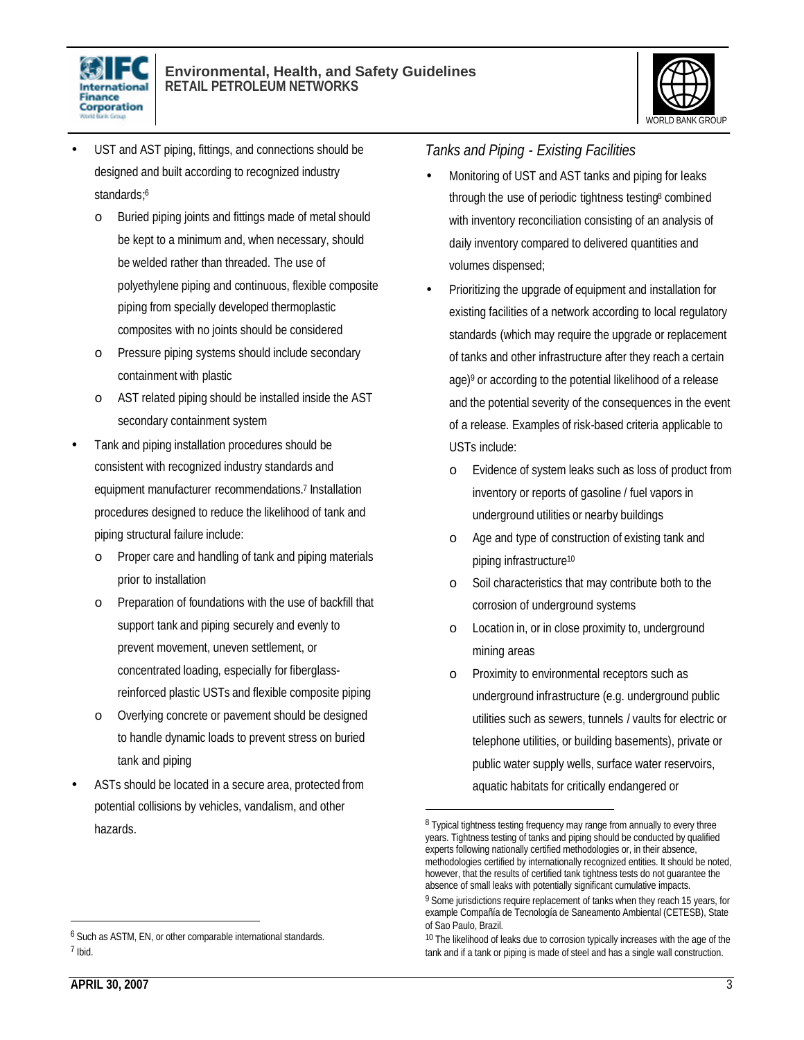



- UST and AST piping, fittings, and connections should be designed and built according to recognized industry standards; 6
	- o Buried piping joints and fittings made of metal should be kept to a minimum and, when necessary, should be welded rather than threaded. The use of polyethylene piping and continuous, flexible composite piping from specially developed thermoplastic composites with no joints should be considered
	- o Pressure piping systems should include secondary containment with plastic
	- o AST related piping should be installed inside the AST secondary containment system
- Tank and piping installation procedures should be consistent with recognized industry standards and equipment manufacturer recommendations. 7 Installation procedures designed to reduce the likelihood of tank and piping structural failure include:
	- Proper care and handling of tank and piping materials prior to installation
	- Preparation of foundations with the use of backfill that support tank and piping securely and evenly to prevent movement, uneven settlement, or concentrated loading, especially for fiberglassreinforced plastic USTs and flexible composite piping
	- o Overlying concrete or pavement should be designed to handle dynamic loads to prevent stress on buried tank and piping
- ASTs should be located in a secure area, protected from potential collisions by vehicles, vandalism, and other hazards.

#### *Tanks and Piping - Existing Facilities*

- Monitoring of UST and AST tanks and piping for leaks through the use of periodic tightness testing<sup>8</sup> combined with inventory reconciliation consisting of an analysis of daily inventory compared to delivered quantities and volumes dispensed;
- Prioritizing the upgrade of equipment and installation for existing facilities of a network according to local regulatory standards (which may require the upgrade or replacement of tanks and other infrastructure after they reach a certain age)<sup>9</sup> or according to the potential likelihood of a release and the potential severity of the consequences in the event of a release. Examples of risk-based criteria applicable to USTs include:
	- o Evidence of system leaks such as loss of product from inventory or reports of gasoline / fuel vapors in underground utilities or nearby buildings
	- o Age and type of construction of existing tank and piping infrastructure<sup>10</sup>
	- o Soil characteristics that may contribute both to the corrosion of underground systems
	- o Location in, or in close proximity to, underground mining areas
	- o Proximity to environmental receptors such as underground infrastructure (e.g. underground public utilities such as sewers, tunnels / vaults for electric or telephone utilities, or building basements), private or public water supply wells, surface water reservoirs, aquatic habitats for critically endangered or

1

<sup>&</sup>lt;sup>6</sup> Such as ASTM, EN, or other comparable international standards. 7 Ibid.

<sup>&</sup>lt;sup>8</sup> Typical tightness testing frequency may range from annually to every three years. Tightness testing of tanks and piping should be conducted by qualified experts following nationally certified methodologies or, in their absence, methodologies certified by internationally recognized entities. It should be noted, however, that the results of certified tank tightness tests do not guarantee the absence of small leaks with potentially significant cumulative impacts.

<sup>&</sup>lt;sup>9</sup> Some jurisdictions require replacement of tanks when they reach 15 years, for example Compañía de Tecnología de Saneamento Ambiental (CETESB), State of Sao Paulo, Brazil.

<sup>&</sup>lt;sup>10</sup> The likelihood of leaks due to corrosion typically increases with the age of the tank and if a tank or piping is made of steel and has a single wall construction.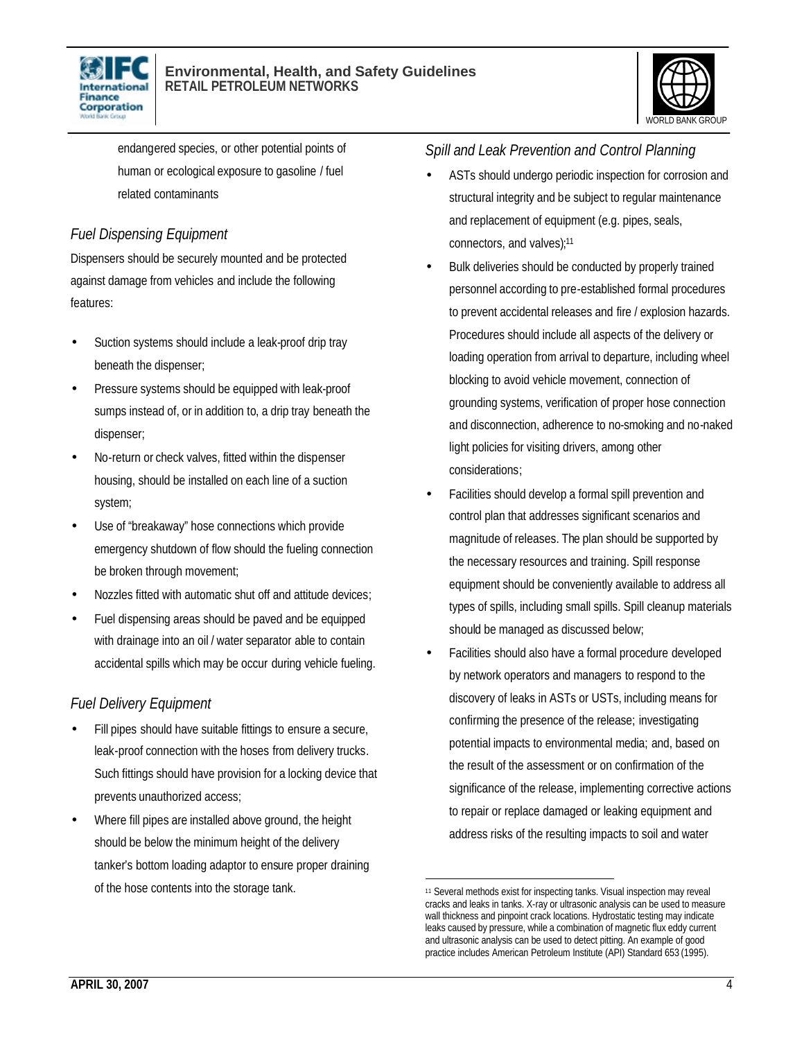



endangered species, or other potential points of human or ecological exposure to gasoline / fuel related contaminants

### *Fuel Dispensing Equipment*

Dispensers should be securely mounted and be protected against damage from vehicles and include the following features:

- Suction systems should include a leak-proof drip tray beneath the dispenser;
- Pressure systems should be equipped with leak-proof sumps instead of, or in addition to, a drip tray beneath the dispenser;
- No-return or check valves, fitted within the dispenser housing, should be installed on each line of a suction system;
- Use of "breakaway" hose connections which provide emergency shutdown of flow should the fueling connection be broken through movement;
- Nozzles fitted with automatic shut off and attitude devices;
- Fuel dispensing areas should be paved and be equipped with drainage into an oil / water separator able to contain accidental spills which may be occur during vehicle fueling.

### *Fuel Delivery Equipment*

- Fill pipes should have suitable fittings to ensure a secure, leak-proof connection with the hoses from delivery trucks. Such fittings should have provision for a locking device that prevents unauthorized access;
- Where fill pipes are installed above ground, the height should be below the minimum height of the delivery tanker's bottom loading adaptor to ensure proper draining of the hose contents into the storage tank.

### *Spill and Leak Prevention and Control Planning*

- ASTs should undergo periodic inspection for corrosion and structural integrity and be subject to regular maintenance and replacement of equipment (e.g. pipes, seals, connectors, and valves); 11
- Bulk deliveries should be conducted by properly trained personnel according to pre-established formal procedures to prevent accidental releases and fire / explosion hazards. Procedures should include all aspects of the delivery or loading operation from arrival to departure, including wheel blocking to avoid vehicle movement, connection of grounding systems, verification of proper hose connection and disconnection, adherence to no-smoking and no-naked light policies for visiting drivers, among other considerations;
- Facilities should develop a formal spill prevention and control plan that addresses significant scenarios and magnitude of releases. The plan should be supported by the necessary resources and training. Spill response equipment should be conveniently available to address all types of spills, including small spills. Spill cleanup materials should be managed as discussed below;
- Facilities should also have a formal procedure developed by network operators and managers to respond to the discovery of leaks in ASTs or USTs, including means for confirming the presence of the release; investigating potential impacts to environmental media; and, based on the result of the assessment or on confirmation of the significance of the release, implementing corrective actions to repair or replace damaged or leaking equipment and address risks of the resulting impacts to soil and water

<sup>1</sup> <sup>11</sup> Several methods exist for inspecting tanks. Visual inspection may reveal cracks and leaks in tanks. X-ray or ultrasonic analysis can be used to measure wall thickness and pinpoint crack locations. Hydrostatic testing may indicate leaks caused by pressure, while a combination of magnetic flux eddy current and ultrasonic analysis can be used to detect pitting. An example of good practice includes American Petroleum Institute (API) Standard 653 (1995).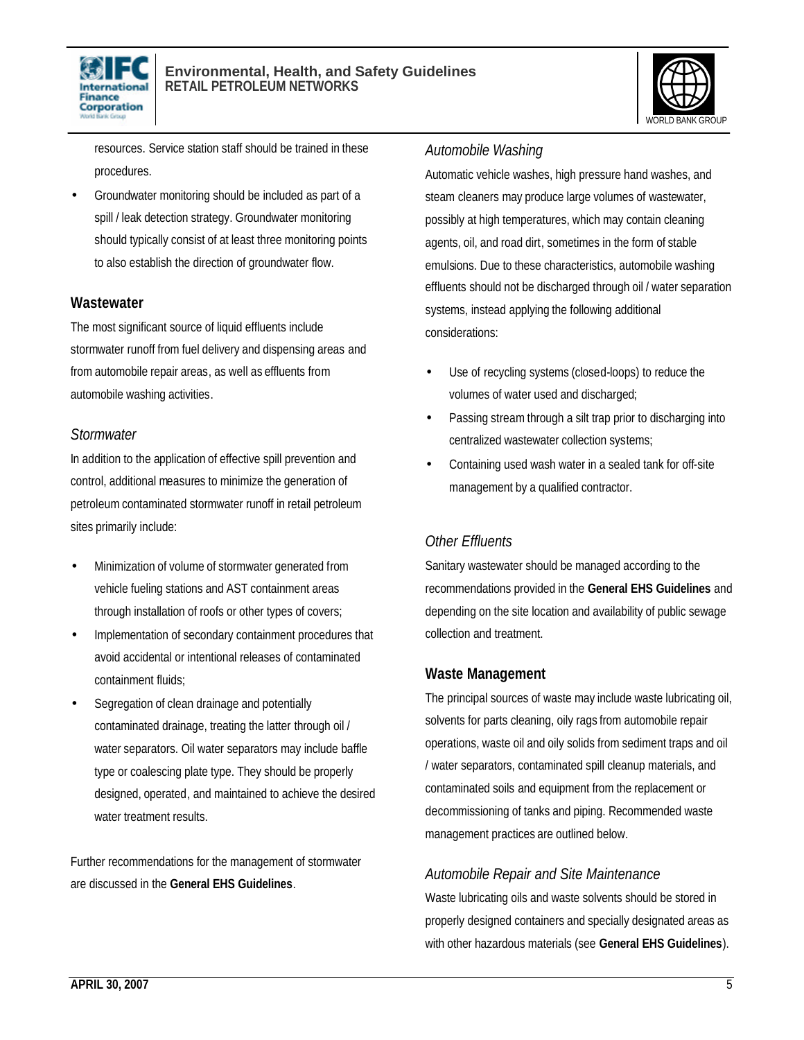



resources. Service station staff should be trained in these procedures.

• Groundwater monitoring should be included as part of a spill / leak detection strategy. Groundwater monitoring should typically consist of at least three monitoring points to also establish the direction of groundwater flow.

#### **Wastewater**

The most significant source of liquid effluents include stormwater runoff from fuel delivery and dispensing areas and from automobile repair areas, as well as effluents from automobile washing activities.

#### *Stormwater*

In addition to the application of effective spill prevention and control, additional measures to minimize the generation of petroleum contaminated stormwater runoff in retail petroleum sites primarily include:

- Minimization of volume of stormwater generated from vehicle fueling stations and AST containment areas through installation of roofs or other types of covers;
- Implementation of secondary containment procedures that avoid accidental or intentional releases of contaminated containment fluids;
- Segregation of clean drainage and potentially contaminated drainage, treating the latter through oil / water separators. Oil water separators may include baffle type or coalescing plate type. They should be properly designed, operated, and maintained to achieve the desired water treatment results.

Further recommendations for the management of stormwater are discussed in the **General EHS Guidelines**.

#### *Automobile Washing*

Automatic vehicle washes, high pressure hand washes, and steam cleaners may produce large volumes of wastewater, possibly at high temperatures, which may contain cleaning agents, oil, and road dirt, sometimes in the form of stable emulsions. Due to these characteristics, automobile washing effluents should not be discharged through oil / water separation systems, instead applying the following additional considerations:

- Use of recycling systems (closed-loops) to reduce the volumes of water used and discharged;
- Passing stream through a silt trap prior to discharging into centralized wastewater collection systems;
- Containing used wash water in a sealed tank for off-site management by a qualified contractor.

### *Other Effluents*

Sanitary wastewater should be managed according to the recommendations provided in the **General EHS Guidelines** and depending on the site location and availability of public sewage collection and treatment.

### **Waste Management**

The principal sources of waste may include waste lubricating oil, solvents for parts cleaning, oily rags from automobile repair operations, waste oil and oily solids from sediment traps and oil / water separators, contaminated spill cleanup materials, and contaminated soils and equipment from the replacement or decommissioning of tanks and piping. Recommended waste management practices are outlined below.

### *Automobile Repair and Site Maintenance*

Waste lubricating oils and waste solvents should be stored in properly designed containers and specially designated areas as with other hazardous materials (see **General EHS Guidelines**).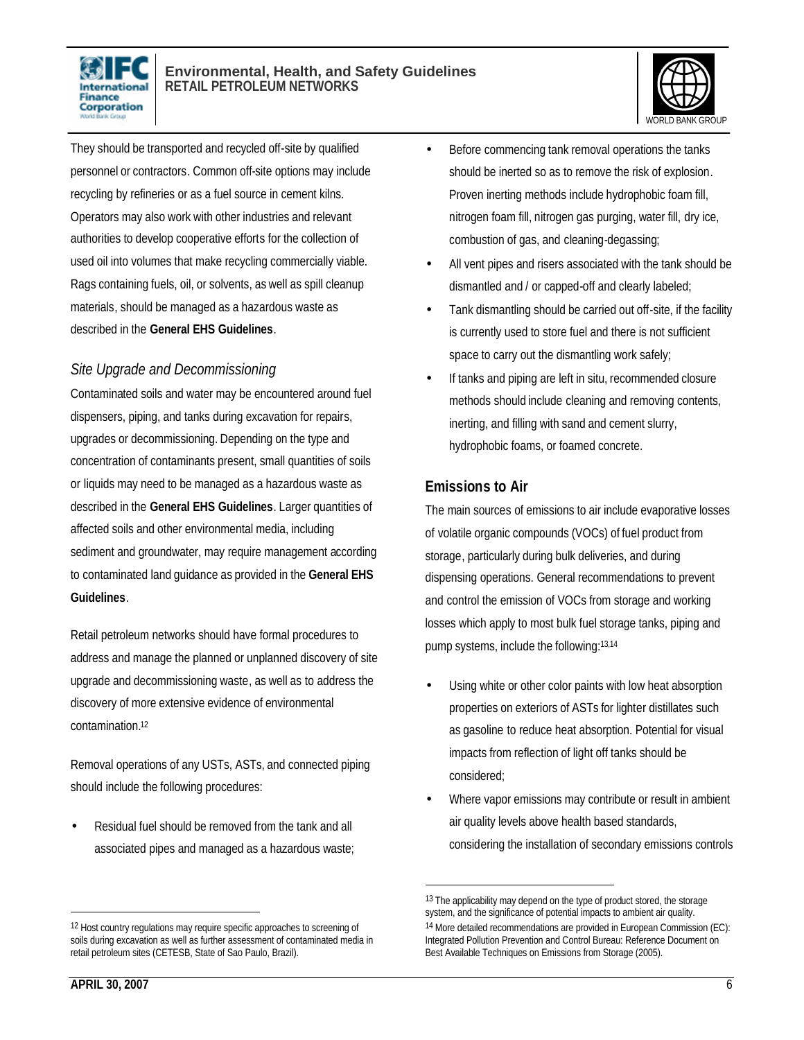



They should be transported and recycled off-site by qualified personnel or contractors. Common off-site options may include recycling by refineries or as a fuel source in cement kilns. Operators may also work with other industries and relevant authorities to develop cooperative efforts for the collection of used oil into volumes that make recycling commercially viable. Rags containing fuels, oil, or solvents, as well as spill cleanup materials, should be managed as a hazardous waste as described in the **General EHS Guidelines**.

#### *Site Upgrade and Decommissioning*

Contaminated soils and water may be encountered around fuel dispensers, piping, and tanks during excavation for repairs, upgrades or decommissioning. Depending on the type and concentration of contaminants present, small quantities of soils or liquids may need to be managed as a hazardous waste as described in the **General EHS Guidelines**. Larger quantities of affected soils and other environmental media, including sediment and groundwater, may require management according to contaminated land guidance as provided in the **General EHS Guidelines**.

Retail petroleum networks should have formal procedures to address and manage the planned or unplanned discovery of site upgrade and decommissioning waste, as well as to address the discovery of more extensive evidence of environmental contamination.<sup>12</sup>

Removal operations of any USTs, ASTs, and connected piping should include the following procedures:

• Residual fuel should be removed from the tank and all associated pipes and managed as a hazardous waste;

- Before commencing tank removal operations the tanks should be inerted so as to remove the risk of explosion. Proven inerting methods include hydrophobic foam fill, nitrogen foam fill, nitrogen gas purging, water fill, dry ice, combustion of gas, and cleaning-degassing;
- All vent pipes and risers associated with the tank should be dismantled and / or capped-off and clearly labeled;
- Tank dismantling should be carried out off-site, if the facility is currently used to store fuel and there is not sufficient space to carry out the dismantling work safely;
- If tanks and piping are left in situ, recommended closure methods should include cleaning and removing contents, inerting, and filling with sand and cement slurry, hydrophobic foams, or foamed concrete.

### **Emissions to Air**

1

The main sources of emissions to air include evaporative losses of volatile organic compounds (VOCs) of fuel product from storage, particularly during bulk deliveries, and during dispensing operations. General recommendations to prevent and control the emission of VOCs from storage and working losses which apply to most bulk fuel storage tanks, piping and pump systems, include the following:13,14

- Using white or other color paints with low heat absorption properties on exteriors of ASTs for lighter distillates such as gasoline to reduce heat absorption. Potential for visual impacts from reflection of light off tanks should be considered;
- Where vapor emissions may contribute or result in ambient air quality levels above health based standards, considering the installation of secondary emissions controls

<sup>&</sup>lt;sup>12</sup> Host country regulations may require specific approaches to screening of soils during excavation as well as further assessment of contaminated media in retail petroleum sites (CETESB, State of Sao Paulo, Brazil).

<sup>&</sup>lt;sup>13</sup> The applicability may depend on the type of product stored, the storage system, and the significance of potential impacts to ambient air quality. 14 More detailed recommendations are provided in European Commission (EC): Integrated Pollution Prevention and Control Bureau: Reference Document on Best Available Techniques on Emissions from Storage (2005).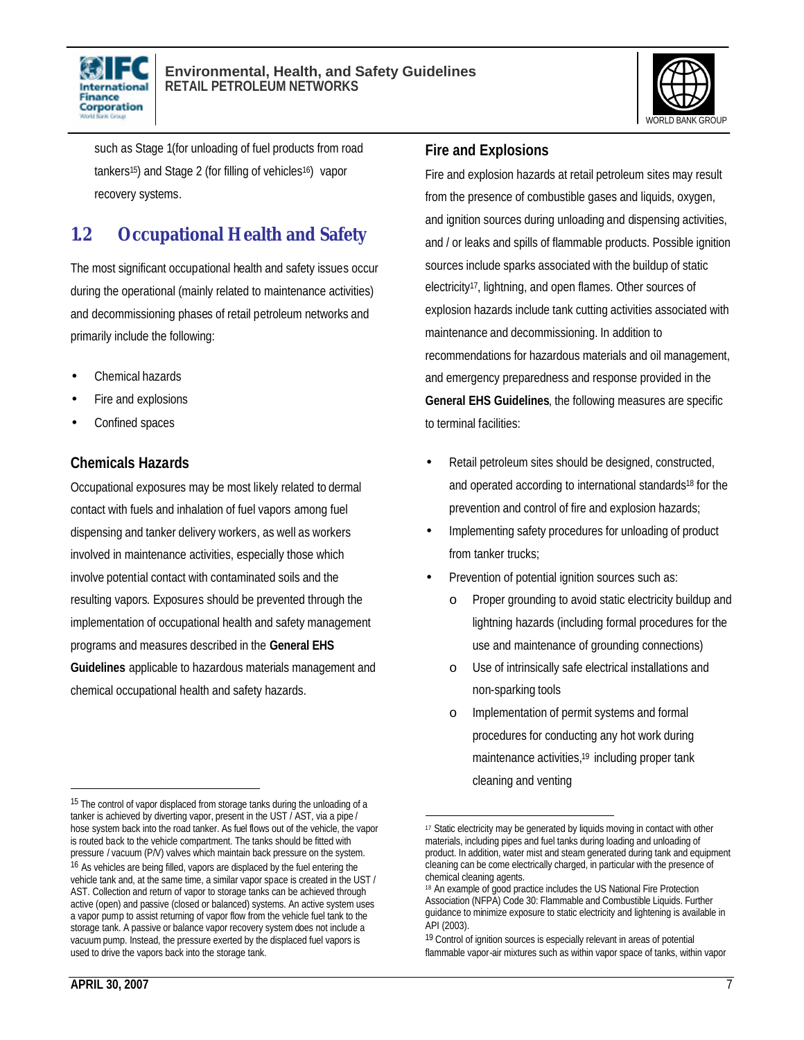



such as Stage 1(for unloading of fuel products from road tankers<sup>15</sup>) and Stage 2 (for filling of vehicles<sup>16</sup>) vapor recovery systems.

### **1.2 Occupational Health and Safety**

The most significant occupational health and safety issues occur during the operational (mainly related to maintenance activities) and decommissioning phases of retail petroleum networks and primarily include the following:

- Chemical hazards
- Fire and explosions
- Confined spaces

### **Chemicals Hazards**

Occupational exposures may be most likely related to dermal contact with fuels and inhalation of fuel vapors among fuel dispensing and tanker delivery workers, as well as workers involved in maintenance activities, especially those which involve potential contact with contaminated soils and the resulting vapors. Exposures should be prevented through the implementation of occupational health and safety management programs and measures described in the **General EHS Guidelines** applicable to hazardous materials management and chemical occupational health and safety hazards.

#### **Fire and Explosions**

Fire and explosion hazards at retail petroleum sites may result from the presence of combustible gases and liquids, oxygen, and ignition sources during unloading and dispensing activities, and / or leaks and spills of flammable products. Possible ignition sources include sparks associated with the buildup of static electricity<sup>17</sup>, lightning, and open flames. Other sources of explosion hazards include tank cutting activities associated with maintenance and decommissioning. In addition to recommendations for hazardous materials and oil management, and emergency preparedness and response provided in the **General EHS Guidelines**, the following measures are specific to terminal facilities:

- Retail petroleum sites should be designed, constructed, and operated according to international standards<sup>18</sup> for the prevention and control of fire and explosion hazards;
- Implementing safety procedures for unloading of product from tanker trucks;
- Prevention of potential ignition sources such as:
	- o Proper grounding to avoid static electricity buildup and lightning hazards (including formal procedures for the use and maintenance of grounding connections)
	- o Use of intrinsically safe electrical installations and non-sparking tools
	- o Implementation of permit systems and formal procedures for conducting any hot work during maintenance activities,<sup>19</sup> including proper tank cleaning and venting

<sup>&</sup>lt;sup>15</sup> The control of vapor displaced from storage tanks during the unloading of a tanker is achieved by diverting vapor, present in the UST / AST, via a pipe / hose system back into the road tanker. As fuel flows out of the vehicle, the vapor is routed back to the vehicle compartment. The tanks should be fitted with pressure / vacuum (P/V) valves which maintain back pressure on the system. 16 As vehicles are being filled, vapors are displaced by the fuel entering the vehicle tank and, at the same time, a similar vapor space is created in the UST / AST. Collection and return of vapor to storage tanks can be achieved through active (open) and passive (closed or balanced) systems. An active system uses a vapor pump to assist returning of vapor flow from the vehicle fuel tank to the storage tank. A passive or balance vapor recovery system does not include a vacuum pump. Instead, the pressure exerted by the displaced fuel vapors is used to drive the vapors back into the storage tank.

 $\overline{a}$ <sup>17</sup> Static electricity may be generated by liquids moving in contact with other materials, including pipes and fuel tanks during loading and unloading of product. In addition, water mist and steam generated during tank and equipment cleaning can be come electrically charged, in particular with the presence of chemical cleaning agents.

<sup>18</sup> An example of good practice includes the US National Fire Protection Association (NFPA) Code 30: Flammable and Combustible Liquids. Further guidance to minimize exposure to static electricity and lightening is available in API (2003).

<sup>&</sup>lt;sup>19</sup> Control of ignition sources is especially relevant in areas of potential flammable vapor-air mixtures such as within vapor space of tanks, within vapor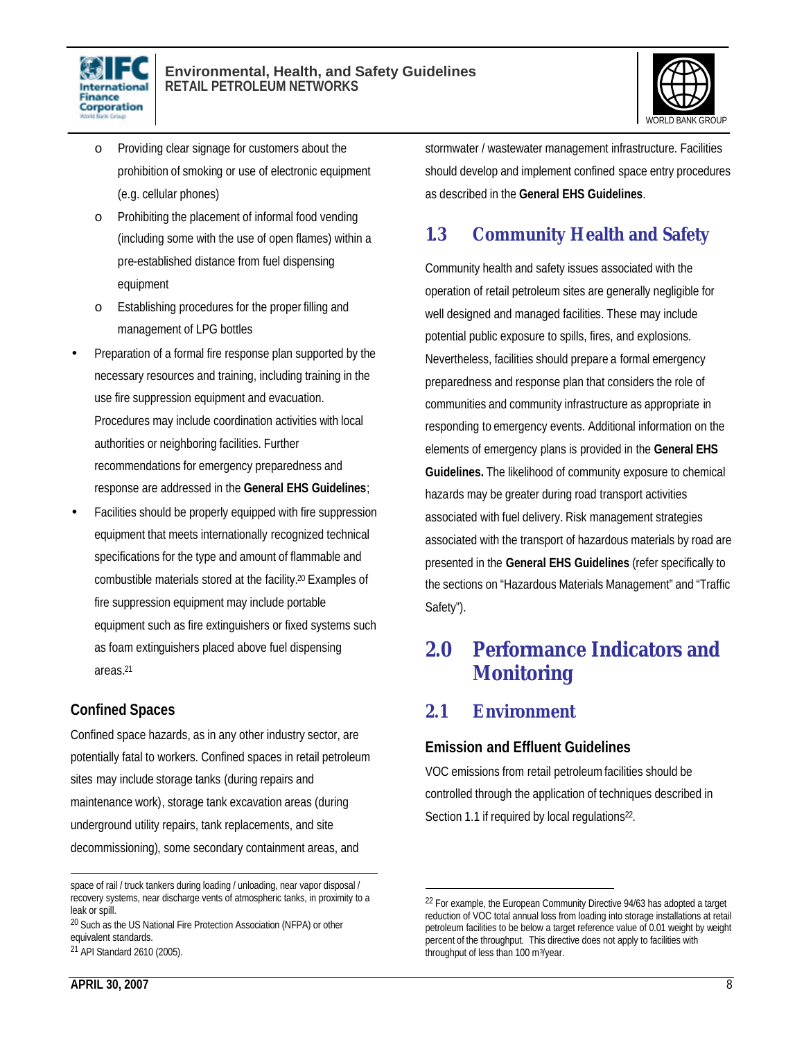



- o Providing clear signage for customers about the prohibition of smoking or use of electronic equipment (e.g. cellular phones)
- o Prohibiting the placement of informal food vending (including some with the use of open flames) within a pre-established distance from fuel dispensing equipment
- o Establishing procedures for the proper filling and management of LPG bottles
- Preparation of a formal fire response plan supported by the necessary resources and training, including training in the use fire suppression equipment and evacuation. Procedures may include coordination activities with local authorities or neighboring facilities. Further recommendations for emergency preparedness and response are addressed in the **General EHS Guidelines**;
- Facilities should be properly equipped with fire suppression equipment that meets internationally recognized technical specifications for the type and amount of flammable and combustible materials stored at the facility.20 Examples of fire suppression equipment may include portable equipment such as fire extinguishers or fixed systems such as foam extinguishers placed above fuel dispensing areas.<sup>21</sup>

### **Confined Spaces**

Confined space hazards, as in any other industry sector, are potentially fatal to workers. Confined spaces in retail petroleum sites may include storage tanks (during repairs and maintenance work), storage tank excavation areas (during underground utility repairs, tank replacements, and site decommissioning), some secondary containment areas, and

stormwater / wastewater management infrastructure. Facilities should develop and implement confined space entry procedures as described in the **General EHS Guidelines**.

### **1.3 Community Health and Safety**

Community health and safety issues associated with the operation of retail petroleum sites are generally negligible for well designed and managed facilities. These may include potential public exposure to spills, fires, and explosions. Nevertheless, facilities should prepare a formal emergency preparedness and response plan that considers the role of communities and community infrastructure as appropriate in responding to emergency events. Additional information on the elements of emergency plans is provided in the **General EHS Guidelines.** The likelihood of community exposure to chemical hazards may be greater during road transport activities associated with fuel delivery. Risk management strategies associated with the transport of hazardous materials by road are presented in the **General EHS Guidelines** (refer specifically to the sections on "Hazardous Materials Management" and "Traffic Safety").

### **2.0 Performance Indicators and Monitoring**

### **2.1 Environment**

 $\overline{a}$ 

### **Emission and Effluent Guidelines**

VOC emissions from retail petroleum facilities should be controlled through the application of techniques described in Section 1.1 if required by local regulations<sup>22</sup>.

 $\overline{a}$ space of rail / truck tankers during loading / unloading, near vapor disposal / recovery systems, near discharge vents of atmospheric tanks, in proximity to a leak or spill.

<sup>&</sup>lt;sup>20</sup> Such as the US National Fire Protection Association (NFPA) or other equivalent standards.

<sup>21</sup> API Standard 2610 (2005).

<sup>&</sup>lt;sup>22</sup> For example, the European Community Directive 94/63 has adopted a target reduction of VOC total annual loss from loading into storage installations at retail petroleum facilities to be below a target reference value of 0.01 weight by weight percent of the throughput. This directive does not apply to facilities with throughput of less than 100 m<sup>3</sup>/year.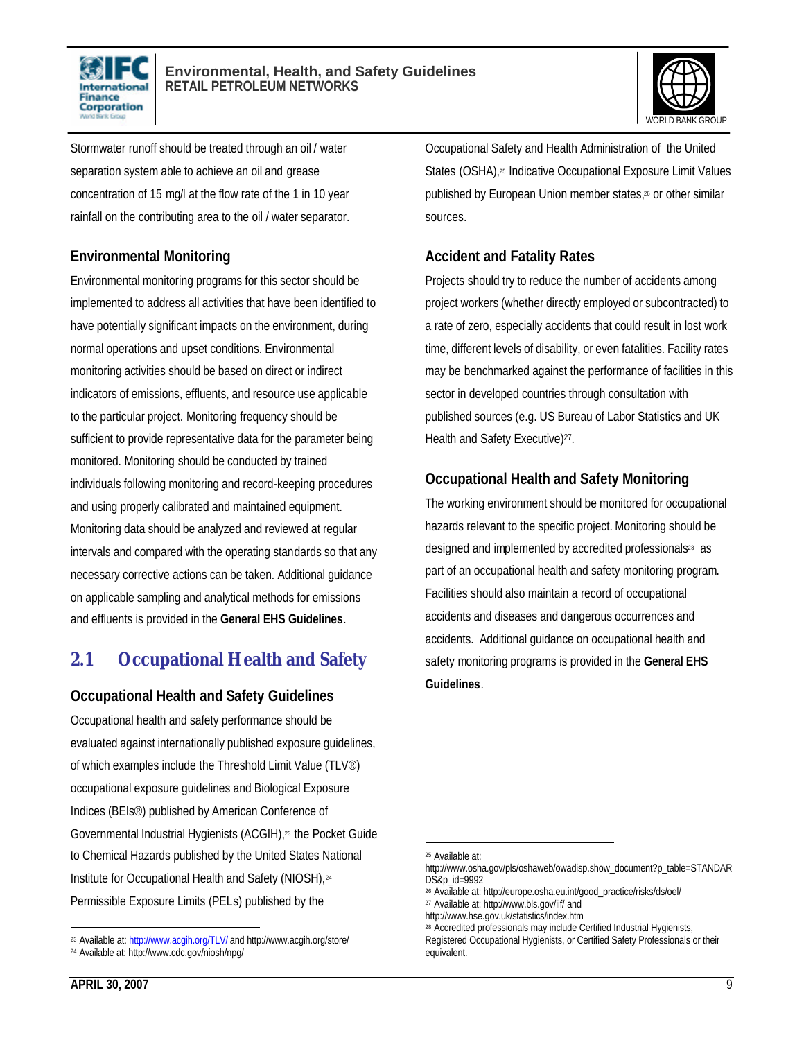



Stormwater runoff should be treated through an oil / water separation system able to achieve an oil and grease concentration of 15 mg/l at the flow rate of the 1 in 10 year rainfall on the contributing area to the oil / water separator.

### **Environmental Monitoring**

Environmental monitoring programs for this sector should be implemented to address all activities that have been identified to have potentially significant impacts on the environment, during normal operations and upset conditions. Environmental monitoring activities should be based on direct or indirect indicators of emissions, effluents, and resource use applicable to the particular project. Monitoring frequency should be sufficient to provide representative data for the parameter being monitored. Monitoring should be conducted by trained individuals following monitoring and record-keeping procedures and using properly calibrated and maintained equipment. Monitoring data should be analyzed and reviewed at regular intervals and compared with the operating standards so that any necessary corrective actions can be taken. Additional guidance on applicable sampling and analytical methods for emissions and effluents is provided in the **General EHS Guidelines**.

### **2.1 Occupational Health and Safety**

### **Occupational Health and Safety Guidelines**

Occupational health and safety performance should be evaluated against internationally published exposure guidelines, of which examples include the Threshold Limit Value (TLV®) occupational exposure guidelines and Biological Exposure Indices (BEIs®) published by American Conference of Governmental Industrial Hygienists (ACGIH),23 the Pocket Guide to Chemical Hazards published by the United States National Institute for Occupational Health and Safety (NIOSH), 24 Permissible Exposure Limits (PELs) published by the

Occupational Safety and Health Administration of the United States (OSHA),<sup>25</sup> Indicative Occupational Exposure Limit Values published by European Union member states,26 or other similar sources.

### **Accident and Fatality Rates**

Projects should try to reduce the number of accidents among project workers (whether directly employed or subcontracted) to a rate of zero, especially accidents that could result in lost work time, different levels of disability, or even fatalities. Facility rates may be benchmarked against the performance of facilities in this sector in developed countries through consultation with published sources (e.g. US Bureau of Labor Statistics and UK Health and Safety Executive)<sup>27</sup>.

### **Occupational Health and Safety Monitoring**

The working environment should be monitored for occupational hazards relevant to the specific project. Monitoring should be designed and implemented by accredited professionals<sup>28</sup> as part of an occupational health and safety monitoring program. Facilities should also maintain a record of occupational accidents and diseases and dangerous occurrences and accidents. Additional guidance on occupational health and safety monitoring programs is provided in the **General EHS Guidelines**.

1

l

<sup>23</sup> Available at: http://www.acgih.org/TLV/ and http://www.acgih.org/store/

<sup>24</sup> Available at: http://www.cdc.gov/niosh/npg/

<sup>25</sup> Available at:

http://www.osha.gov/pls/oshaweb/owadisp.show\_document?p\_table=STANDAR DS&p\_id=9992

<sup>26</sup> Available at: http://europe.osha.eu.int/good\_practice/risks/ds/oel/

<sup>27</sup> Available at: http://www.bls.gov/iif/ and

http://www.hse.gov.uk/statistics/index.htm

<sup>28</sup> Accredited professionals may include Certified Industrial Hygienists,

Registered Occupational Hygienists, or Certified Safety Professionals or their equivalent.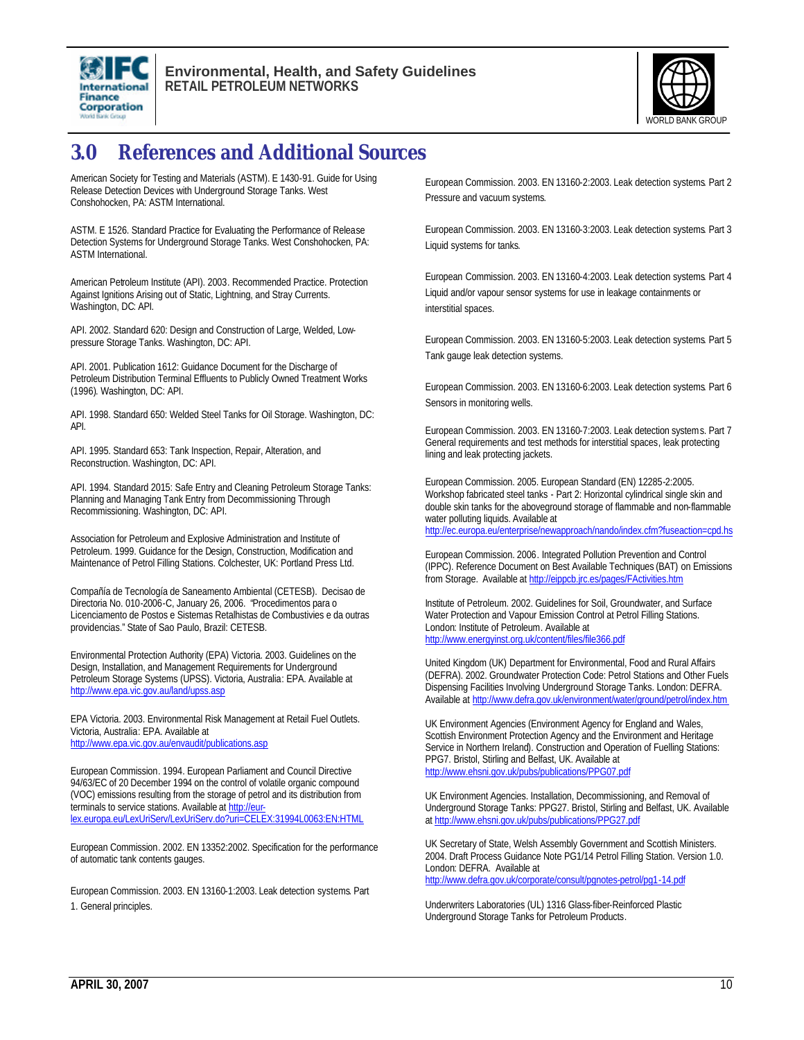



### **3.0 References and Additional Sources**

American Society for Testing and Materials (ASTM). E 1430-91. Guide for Using Release Detection Devices with Underground Storage Tanks. West Conshohocken, PA: ASTM International.

ASTM. E 1526. Standard Practice for Evaluating the Performance of Release Detection Systems for Underground Storage Tanks. West Conshohocken, PA: ASTM International.

American Petroleum Institute (API). 2003. Recommended Practice. Protection Against Ignitions Arising out of Static, Lightning, and Stray Currents. Washington, DC: API.

API. 2002. Standard 620: Design and Construction of Large, Welded, Lowpressure Storage Tanks. Washington, DC: API.

API. 2001. Publication 1612: Guidance Document for the Discharge of Petroleum Distribution Terminal Effluents to Publicly Owned Treatment Works (1996). Washington, DC: API.

API. 1998. Standard 650: Welded Steel Tanks for Oil Storage. Washington, DC: API.

API. 1995. Standard 653: Tank Inspection, Repair, Alteration, and Reconstruction. Washington, DC: API.

API. 1994. Standard 2015: Safe Entry and Cleaning Petroleum Storage Tanks: Planning and Managing Tank Entry from Decommissioning Through Recommissioning. Washington, DC: API.

Association for Petroleum and Explosive Administration and Institute of Petroleum. 1999. Guidance for the Design, Construction, Modification and Maintenance of Petrol Filling Stations. Colchester, UK: Portland Press Ltd.

Compañía de Tecnología de Saneamento Ambiental (CETESB). Decisao de Directoria No. 010-2006-C, January 26, 2006. "Procedimentos para o Licenciamento de Postos e Sistemas Retalhistas de Combustivies e da outras providencias." State of Sao Paulo, Brazil: CETESB.

Environmental Protection Authority (EPA) Victoria. 2003. Guidelines on the Design, Installation, and Management Requirements for Underground Petroleum Storage Systems (UPSS). Victoria, Australia: EPA. Available at http://www.epa.vic.gov.au/land/upss.asp

EPA Victoria. 2003. Environmental Risk Management at Retail Fuel Outlets. Victoria, Australia: EPA. Available at http://www.epa.vic.gov.au/envaudit/publications.asp

European Commission. 1994. European Parliament and Council Directive 94/63/EC of 20 December 1994 on the control of volatile organic compound (VOC) emissions resulting from the storage of petrol and its distribution from terminals to service stations. Available at http://eurlex.europa.eu/LexUriServ/LexUriServ.do?uri=CELEX:31994L0063:EN:HTML

European Commission. 2002. EN 13352:2002. Specification for the performance of automatic tank contents gauges.

European Commission. 2003. EN 13160-1:2003. Leak detection systems. Part 1. General principles.

European Commission. 2003. EN 13160-2:2003. Leak detection systems. Part 2 Pressure and vacuum systems.

European Commission. 2003. EN 13160-3:2003. Leak detection systems. Part 3 Liquid systems for tanks.

European Commission. 2003. EN 13160-4:2003. Leak detection systems. Part 4 Liquid and/or vapour sensor systems for use in leakage containments or interstitial spaces.

European Commission. 2003. EN 13160-5:2003. Leak detection systems. Part 5 Tank gauge leak detection systems.

European Commission. 2003. EN 13160-6:2003. Leak detection systems. Part 6 Sensors in monitoring wells.

European Commission. 2003. EN 13160-7:2003. Leak detection systems. Part 7 General requirements and test methods for interstitial spaces, leak protecting lining and leak protecting jackets.

European Commission. 2005. European Standard (EN) 12285-2:2005. Workshop fabricated steel tanks - Part 2: Horizontal cylindrical single skin and double skin tanks for the aboveground storage of flammable and non-flammable water polluting liquids. Available at http://ec.europa.eu/enterprise/newapproach/nando/index.cfm?fuseaction=cpd.hs

European Commission. 2006. Integrated Pollution Prevention and Control (IPPC). Reference Document on Best Available Techniques (BAT) on Emissions from Storage. Available at http://eippcb.jrc.es/pages/FActivities.htm

Institute of Petroleum. 2002. Guidelines for Soil, Groundwater, and Surface Water Protection and Vapour Emission Control at Petrol Filling Stations. London: Institute of Petroleum. Available at http://www.energyinst.org.uk/content/files/file366.pdf

United Kingdom (UK) Department for Environmental, Food and Rural Affairs (DEFRA). 2002. Groundwater Protection Code: Petrol Stations and Other Fuels Dispensing Facilities Involving Underground Storage Tanks. London: DEFRA. Available at http://www.defra.gov.uk/environment/water/ground/petrol/index.htm

UK Environment Agencies (Environment Agency for England and Wales, Scottish Environment Protection Agency and the Environment and Heritage Service in Northern Ireland). Construction and Operation of Fuelling Stations: PPG7. Bristol, Stirling and Belfast, UK. Available at http://www.ehsni.gov.uk/pubs/publications/PPG07.pdf

UK Environment Agencies. Installation, Decommissioning, and Removal of Underground Storage Tanks: PPG27. Bristol, Stirling and Belfast, UK. Available at http://www.ehsni.gov.uk/pubs/publications/PPG27.pdf

UK Secretary of State, Welsh Assembly Government and Scottish Ministers. 2004. Draft Process Guidance Note PG1/14 Petrol Filling Station. Version 1.0. London: DEFRA. Available at http://www.defra.gov.uk/corporate/consult/pgnotes-petrol/pg1-14.pdf

Underwriters Laboratories (UL) 1316 Glass-fiber-Reinforced Plastic Underground Storage Tanks for Petroleum Products.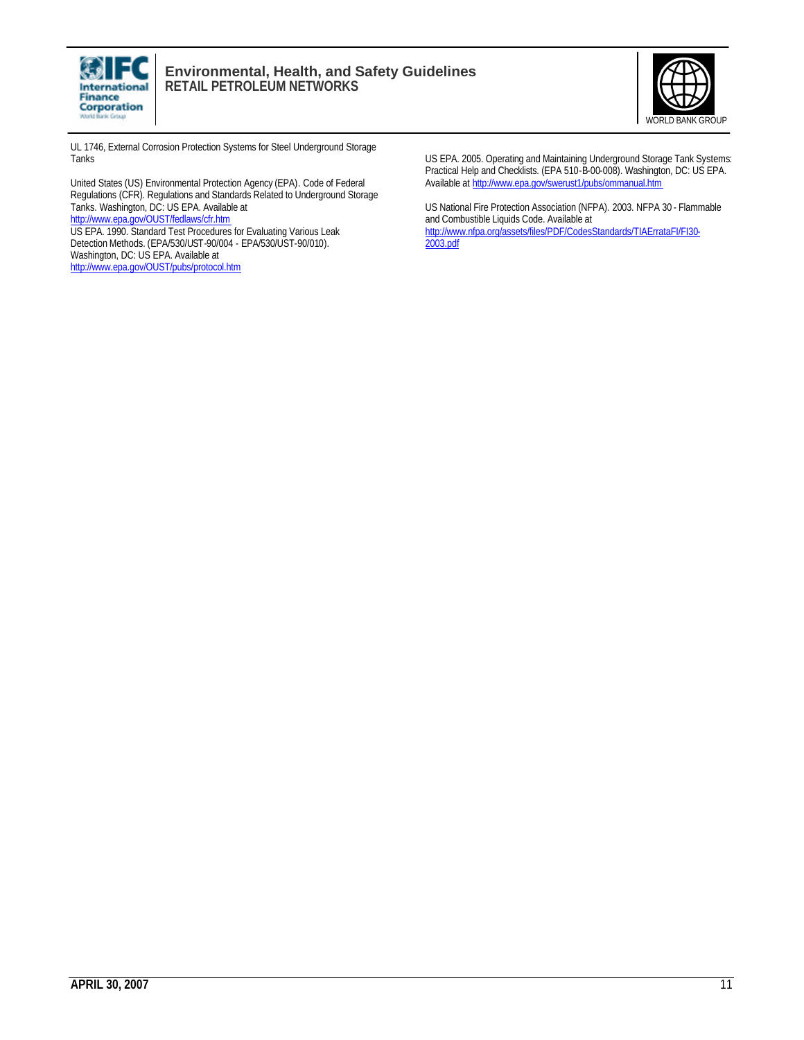

#### **Environmental, Health, and Safety Guidelines RETAIL PETROLEUM NETWORKS**



UL 1746, External Corrosion Protection Systems for Steel Underground Storage Tanks

United States (US) Environmental Protection Agency (EPA). Code of Federal Regulations (CFR). Regulations and Standards Related to Underground Storage Tanks. Washington, DC: US EPA. Available at http://www.epa.gov/OUST/fedlaws/cfr.htm US EPA. 1990. Standard Test Procedures for Evaluating Various Leak Detection Methods. (EPA/530/UST-90/004 - EPA/530/UST-90/010). Washington, DC: US EPA. Available at http://www.epa.gov/OUST/pubs/protocol.htm

US EPA. 2005. Operating and Maintaining Underground Storage Tank Systems: Practical Help and Checklists. (EPA 510-B-00-008). Washington, DC: US EPA. Available at http://www.epa.gov/swerust1/pubs/ommanual.htm

US National Fire Protection Association (NFPA). 2003. NFPA 30 - Flammable and Combustible Liquids Code. Available at http://www.nfpa.org/assets/files/PDF/CodesStandards/TIAErrataFI/FI30- 2003.pdf